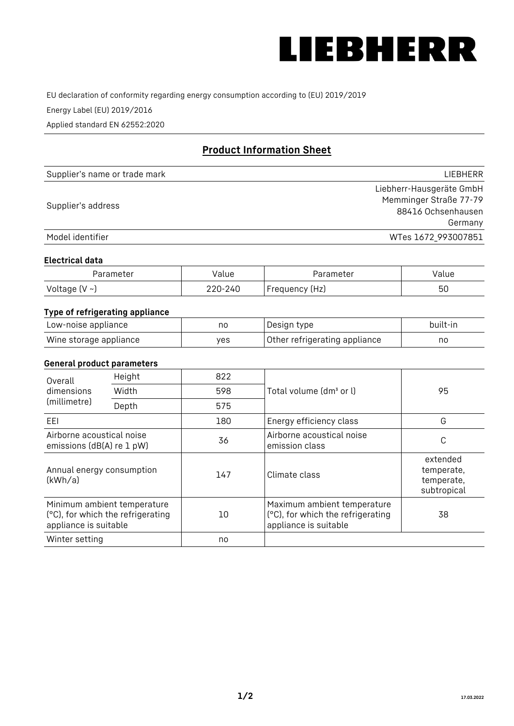

EU declaration of conformity regarding energy consumption according to (EU) 2019/2019

Energy Label (EU) 2019/2016

Applied standard EN 62552:2020

# **Product Information Sheet**

| Supplier's name or trade mark | <b>LIFBHFRR</b>          |
|-------------------------------|--------------------------|
|                               | Liebherr-Hausgeräte GmbH |
| Supplier's address            | Memminger Straße 77-79   |
|                               | 88416 Ochsenhausen       |
|                               | Germany                  |
| Model identifier              | WTes 1672 993007851      |

#### **Electrical data**

| Parameter     | Value   | Parameter      | Value |
|---------------|---------|----------------|-------|
| Voltage (V ~) | 220-240 | Frequency (Hz) | 50    |

# **Type of refrigerating appliance**

| Low-noise appliance    | nc  | , Design type i               | built-in |
|------------------------|-----|-------------------------------|----------|
| Wine storage appliance | ves | Other refrigerating appliance | nc       |

### **General product parameters**

| Height<br>Overall                                                                         |       | 822 |                                                                                           |                                                     |
|-------------------------------------------------------------------------------------------|-------|-----|-------------------------------------------------------------------------------------------|-----------------------------------------------------|
| dimensions<br>(millimetre)                                                                | Width | 598 | Total volume (dm <sup>3</sup> or l)                                                       | 95                                                  |
|                                                                                           | Depth | 575 |                                                                                           |                                                     |
| EEL                                                                                       |       | 180 | Energy efficiency class                                                                   | G                                                   |
| Airborne acoustical noise<br>emissions (dB(A) re 1 pW)                                    |       | 36  | Airborne acoustical noise<br>emission class                                               | С                                                   |
| Annual energy consumption<br>(kWh/a)                                                      |       | 147 | Climate class                                                                             | extended<br>temperate,<br>temperate,<br>subtropical |
| Minimum ambient temperature<br>(°C), for which the refrigerating<br>appliance is suitable |       | 10  | Maximum ambient temperature<br>(°C), for which the refrigerating<br>appliance is suitable | 38                                                  |
| Winter setting                                                                            |       | no  |                                                                                           |                                                     |